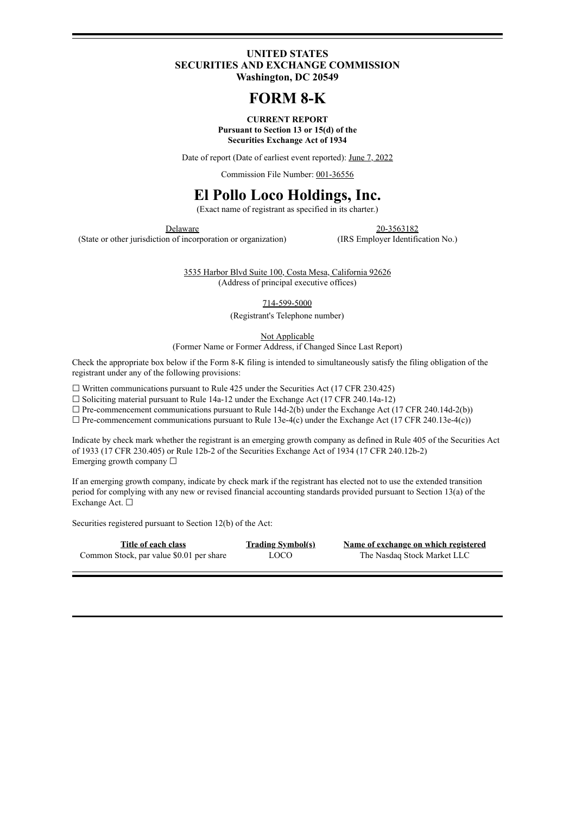### **UNITED STATES SECURITIES AND EXCHANGE COMMISSION Washington, DC 20549**

# **FORM 8-K**

**CURRENT REPORT Pursuant to Section 13 or 15(d) of the Securities Exchange Act of 1934**

Date of report (Date of earliest event reported): June 7, 2022

Commission File Number: 001-36556

# **El Pollo Loco Holdings, Inc.**

(Exact name of registrant as specified in its charter.)

(State or other jurisdiction of incorporation or organization) (IRS Employer Identification No.)

Delaware 20-3563182

3535 Harbor Blvd Suite 100, Costa Mesa, California 92626 (Address of principal executive offices)

714-599-5000

(Registrant's Telephone number)

Not Applicable

(Former Name or Former Address, if Changed Since Last Report)

Check the appropriate box below if the Form 8-K filing is intended to simultaneously satisfy the filing obligation of the registrant under any of the following provisions:

 $\Box$  Written communications pursuant to Rule 425 under the Securities Act (17 CFR 230.425)

 $\Box$  Soliciting material pursuant to Rule 14a-12 under the Exchange Act (17 CFR 240.14a-12)

 $\Box$  Pre-commencement communications pursuant to Rule 14d-2(b) under the Exchange Act (17 CFR 240.14d-2(b))

 $\Box$  Pre-commencement communications pursuant to Rule 13e-4(c) under the Exchange Act (17 CFR 240.13e-4(c))

Indicate by check mark whether the registrant is an emerging growth company as defined in Rule 405 of the Securities Act of 1933 (17 CFR 230.405) or Rule 12b-2 of the Securities Exchange Act of 1934 (17 CFR 240.12b-2) Emerging growth company  $\Box$ 

If an emerging growth company, indicate by check mark if the registrant has elected not to use the extended transition period for complying with any new or revised financial accounting standards provided pursuant to Section 13(a) of the Exchange Act. ☐

Securities registered pursuant to Section 12(b) of the Act:

| Title of each class                      | <b>Trading Symbol(s)</b> | Name of exo |
|------------------------------------------|--------------------------|-------------|
| Common Stock, par value \$0.01 per share | <b>LOCO</b>              | The Na      |

**Title of each class Trading Symbol(s) Name of exchange on which registered** sdaq Stock Market LLC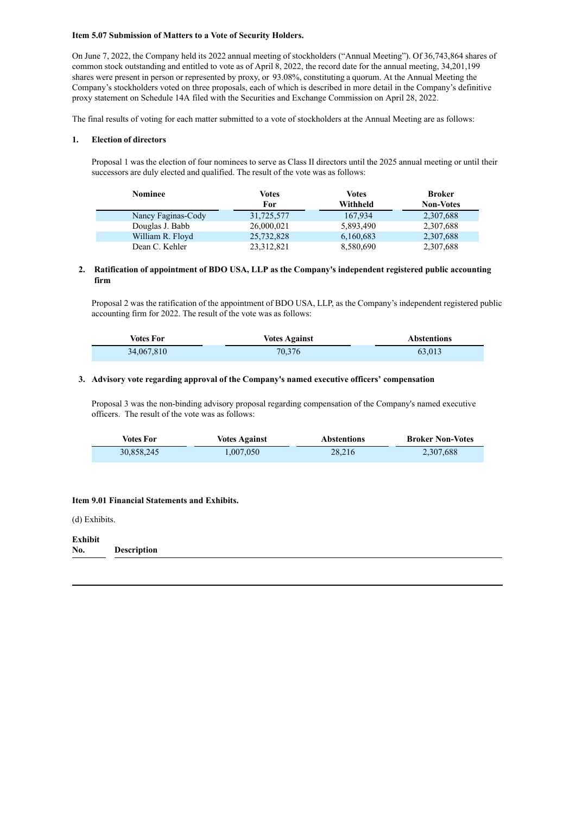#### **Item 5.07 Submission of Matters to a Vote of Security Holders.**

On June 7, 2022, the Company held its 2022 annual meeting of stockholders ("Annual Meeting"). Of 36,743,864 shares of common stock outstanding and entitled to vote as of April 8, 2022, the record date for the annual meeting, 34,201,199 shares were present in person or represented by proxy, or 93.08%, constituting a quorum. At the Annual Meeting the Company's stockholders voted on three proposals, each of which is described in more detail in the Company's definitive proxy statement on Schedule 14A filed with the Securities and Exchange Commission on April 28, 2022.

The final results of voting for each matter submitted to a vote of stockholders at the Annual Meeting are as follows:

#### **1. Election of directors**

Proposal 1 was the election of four nominees to serve as Class II directors until the 2025 annual meeting or until their successors are duly elected and qualified. The result of the vote was as follows:

| Nominee            | Votes<br>For | Votes<br>Withheld | <b>Broker</b><br><b>Non-Votes</b> |
|--------------------|--------------|-------------------|-----------------------------------|
| Nancy Faginas-Cody | 31,725,577   | 167,934           | 2,307,688                         |
| Douglas J. Babb    | 26,000,021   | 5,893,490         | 2,307,688                         |
| William R. Floyd   | 25,732,828   | 6,160,683         | 2,307,688                         |
| Dean C. Kehler     | 23, 312, 821 | 8,580,690         | 2,307,688                         |

#### **2. Ratification of appointment of BDO USA, LLP as the Company's independent registered public accounting firm**

Proposal 2 was the ratification of the appointment of BDO USA, LLP, as the Company's independent registered public accounting firm for 2022. The result of the vote was as follows:

| <b>Votes For</b> | <b>Votes Against</b> | <b>Abstentions</b> |
|------------------|----------------------|--------------------|
| 34,067,810       | 70.376               | 63,013             |

#### **3. Advisory vote regarding approval of the Company's named executive officers' compensation**

Proposal 3 was the non-binding advisory proposal regarding compensation of the Company's named executive officers. The result of the vote was as follows:

| Votes For  | <b>Votes Against</b> | <b>Abstentions</b> | <b>Broker Non-Votes</b> |
|------------|----------------------|--------------------|-------------------------|
| 30,858,245 | 1.007.050            | 28.216             | 2,307,688               |

#### **Item 9.01 Financial Statements and Exhibits.**

(d) Exhibits.

#### **Exhibit No. Description**